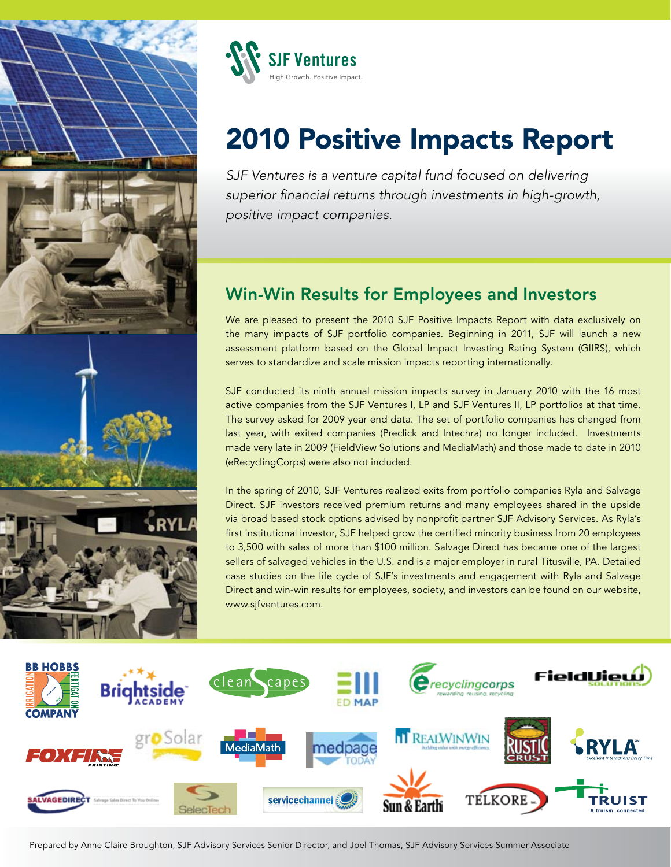



# 2010 Positive Impacts Report

*SJF Ventures is a venture capital fund focused on delivering superior financial returns through investments in high-growth, positive impact companies.*

## Win-Win Results for Employees and Investors

We are pleased to present the 2010 SJF Positive Impacts Report with data exclusively on the many impacts of SJF portfolio companies. Beginning in 2011, SJF will launch a new assessment platform based on the Global Impact Investing Rating System (GIIRS), which serves to standardize and scale mission impacts reporting internationally.

SJF conducted its ninth annual mission impacts survey in January 2010 with the 16 most active companies from the SJF Ventures I, LP and SJF Ventures II, LP portfolios at that time. The survey asked for 2009 year end data. The set of portfolio companies has changed from last year, with exited companies (Preclick and Intechra) no longer included. Investments made very late in 2009 (FieldView Solutions and MediaMath) and those made to date in 2010 (eRecyclingCorps) were also not included.

In the spring of 2010, SJF Ventures realized exits from portfolio companies Ryla and Salvage Direct. SJF investors received premium returns and many employees shared in the upside via broad based stock options advised by nonprofit partner SJF Advisory Services. As Ryla's first institutional investor, SJF helped grow the certified minority business from 20 employees to 3,500 with sales of more than \$100 million. Salvage Direct has became one of the largest sellers of salvaged vehicles in the U.S. and is a major employer in rural Titusville, PA. Detailed case studies on the life cycle of SJF's investments and engagement with Ryla and Salvage Direct and win-win results for employees, society, and investors can be found on our website, www.sjfventures.com.



Prepared by Anne Claire Broughton, SJF Advisory Services Senior Director, and Joel Thomas, SJF Advisory Services Summer Associate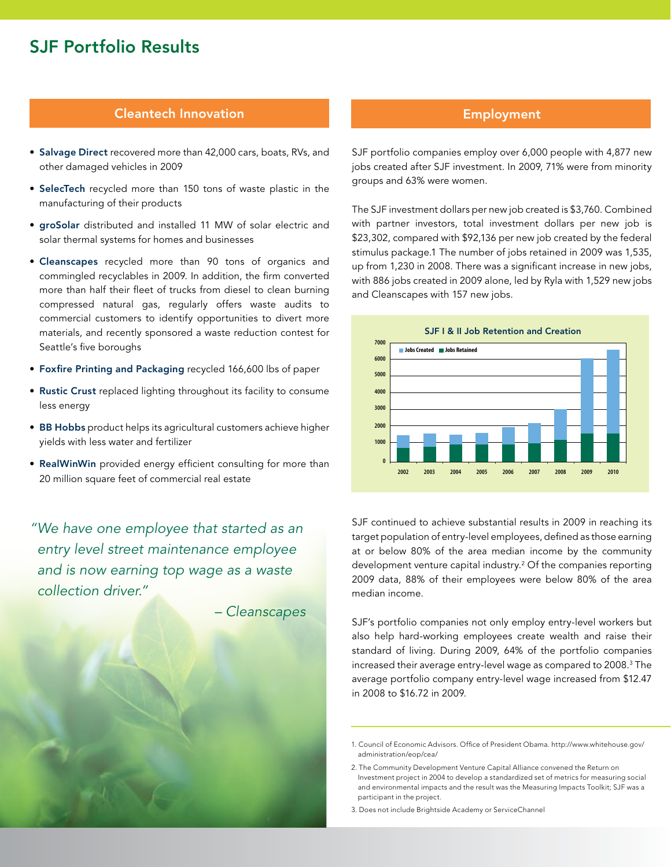### SJF Portfolio Results

#### Cleantech Innovation

- Salvage Direct recovered more than 42,000 cars, boats, RVs, and other damaged vehicles in 2009
- SelecTech recycled more than 150 tons of waste plastic in the manufacturing of their products
- groSolar distributed and installed 11 MW of solar electric and solar thermal systems for homes and businesses
- Cleanscapes recycled more than 90 tons of organics and commingled recyclables in 2009. In addition, the firm converted more than half their fleet of trucks from diesel to clean burning compressed natural gas, regularly offers waste audits to commercial customers to identify opportunities to divert more materials, and recently sponsored a waste reduction contest for Seattle's five boroughs
- Foxfire Printing and Packaging recycled 166,600 lbs of paper
- Rustic Crust replaced lighting throughout its facility to consume less energy
- BB Hobbs product helps its agricultural customers achieve higher yields with less water and fertilizer
- RealWinWin provided energy efficient consulting for more than 20 million square feet of commercial real estate

*"We have one employee that started as an entry level street maintenance employee and is now earning top wage as a waste collection driver."*

*– Cleanscapes*

#### Employment

SJF portfolio companies employ over 6,000 people with 4,877 new jobs created after SJF investment. In 2009, 71% were from minority groups and 63% were women.

The SJF investment dollars per new job created is \$3,760. Combined with partner investors, total investment dollars per new job is \$23,302, compared with \$92,136 per new job created by the federal stimulus package.1 The number of jobs retained in 2009 was 1,535, up from 1,230 in 2008. There was a significant increase in new jobs, with 886 jobs created in 2009 alone, led by Ryla with 1,529 new jobs and Cleanscapes with 157 new jobs.



SJF continued to achieve substantial results in 2009 in reaching its target population of entry-level employees, defined as those earning at or below 80% of the area median income by the community development venture capital industry.2 Of the companies reporting 2009 data, 88% of their employees were below 80% of the area median income.

SJF's portfolio companies not only employ entry-level workers but also help hard-working employees create wealth and raise their standard of living. During 2009, 64% of the portfolio companies increased their average entry-level wage as compared to 2008.3 The average portfolio company entry-level wage increased from \$12.47 in 2008 to \$16.72 in 2009.

3. Does not include Brightside Academy or ServiceChannel

<sup>1.</sup> Council of Economic Advisors. Office of President Obama. http://www.whitehouse.gov/ administration/eop/cea/

<sup>2.</sup> The Community Development Venture Capital Alliance convened the Return on Investment project in 2004 to develop a standardized set of metrics for measuring social and environmental impacts and the result was the Measuring Impacts Toolkit; SJF was a participant in the project.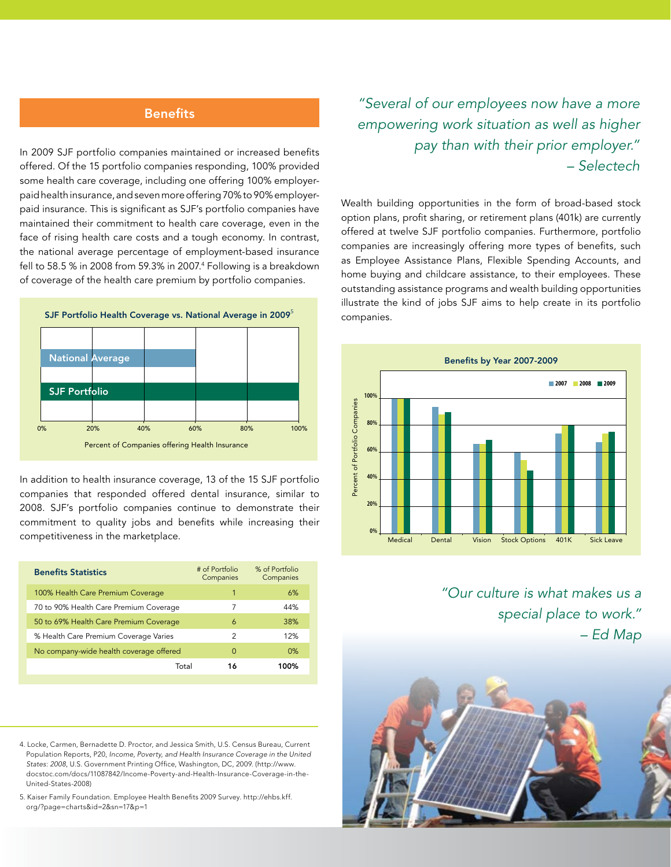#### **Benefits**

In 2009 SJF portfolio companies maintained or increased benefits offered. Of the 15 portfolio companies responding, 100% provided some health care coverage, including one offering 100% employerpaid health insurance, and seven more offering 70% to 90% employerpaid insurance. This is significant as SJF's portfolio companies have maintained their commitment to health care coverage, even in the face of rising health care costs and a tough economy. In contrast, the national average percentage of employment-based insurance fell to 58.5 % in 2008 from 59.3% in 2007.4 Following is a breakdown of coverage of the health care premium by portfolio companies.



In addition to health insurance coverage, 13 of the 15 SJF portfolio companies that responded offered dental insurance, similar to 2008. SJF's portfolio companies continue to demonstrate their commitment to quality jobs and benefits while increasing their competitiveness in the marketplace.

| <b>Benefits Statistics</b>              | # of Portfolio<br>Companies | % of Portfolio<br>Companies |
|-----------------------------------------|-----------------------------|-----------------------------|
| 100% Health Care Premium Coverage       | 1                           | 6%                          |
| 70 to 90% Health Care Premium Coverage  | 7                           | 44%                         |
| 50 to 69% Health Care Premium Coverage  | 6                           | 38%                         |
| % Health Care Premium Coverage Varies   | 2                           | 12%                         |
| No company-wide health coverage offered | $\Omega$                    | 0%                          |
| Total                                   | 16                          | 100%                        |

- 4. Locke, Carmen, Bernadette D. Proctor, and Jessica Smith, U.S. Census Bureau, Current Population Reports, P20, *Income, Poverty, and Health Insurance Coverage in the United States*: *2008*, U.S. Government Printing Office, Washington, DC, 2009. (http://www. docstoc.com/docs/11087842/Income-Poverty-and-Health-Insurance-Coverage-in-the-United-States-2008)
- 5. Kaiser Family Foundation. Employee Health Benefits 2009 Survey. http://ehbs.kff. org/?page=charts&id=2&sn=17&p=1

*"Several of our employees now have a more empowering work situation as well as higher pay than with their prior employer." – Selectech*

Wealth building opportunities in the form of broad-based stock option plans, profit sharing, or retirement plans (401k) are currently offered at twelve SJF portfolio companies. Furthermore, portfolio companies are increasingly offering more types of benefits, such as Employee Assistance Plans, Flexible Spending Accounts, and home buying and childcare assistance, to their employees. These outstanding assistance programs and wealth building opportunities illustrate the kind of jobs SJF aims to help create in its portfolio companies.



*"Our culture is what makes us a special place to work." – Ed Map*